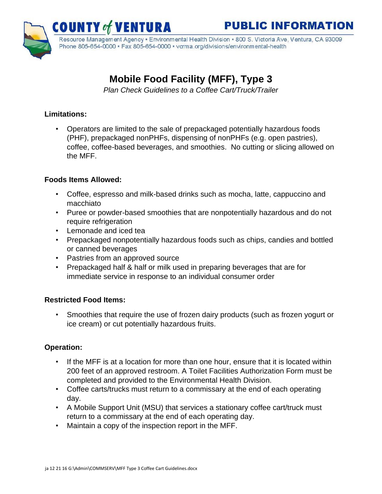

Resource Management Agency • Environmental Health Division • 800 S. Victoria Ave, Ventura, CA 93009 Phone 805-654-0000 · Fax 805-654-0000 · vcrma.org/divisions/environmental-health

# **Mobile Food Facility (MFF), Type 3**

ENTURA

*Plan Check Guidelines to a Coffee Cart/Truck/Trailer* 

## **Limitations:**

• Operators are limited to the sale of prepackaged potentially hazardous foods (PHF), prepackaged nonPHFs, dispensing of nonPHFs (e.g. open pastries), coffee, coffee-based beverages, and smoothies. No cutting or slicing allowed on the MFF.

#### **Foods Items Allowed:**

- Coffee, espresso and milk-based drinks such as mocha, latte, cappuccino and macchiato
- Puree or powder-based smoothies that are nonpotentially hazardous and do not require refrigeration
- Lemonade and iced tea
- Prepackaged nonpotentially hazardous foods such as chips, candies and bottled or canned beverages
- Pastries from an approved source
- Prepackaged half & half or milk used in preparing beverages that are for immediate service in response to an individual consumer order

#### **Restricted Food Items:**

• Smoothies that require the use of frozen dairy products (such as frozen yogurt or ice cream) or cut potentially hazardous fruits.

# **Operation:**

- If the MFF is at a location for more than one hour, ensure that it is located within 200 feet of an approved restroom. A Toilet Facilities Authorization Form must be completed and provided to the Environmental Health Division.
- Coffee carts/trucks must return to a commissary at the end of each operating day.
- A Mobile Support Unit (MSU) that services a stationary coffee cart/truck must return to a commissary at the end of each operating day.
- Maintain a copy of the inspection report in the MFF.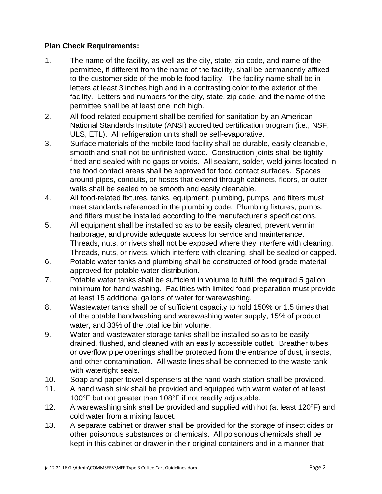#### **Plan Check Requirements:**

- 1. The name of the facility, as well as the city, state, zip code, and name of the permittee, if different from the name of the facility, shall be permanently affixed to the customer side of the mobile food facility. The facility name shall be in letters at least 3 inches high and in a contrasting color to the exterior of the facility. Letters and numbers for the city, state, zip code, and the name of the permittee shall be at least one inch high.
- 2. All food-related equipment shall be certified for sanitation by an American National Standards Institute (ANSI) accredited certification program (i.e., NSF, ULS, ETL). All refrigeration units shall be self-evaporative.
- 3. Surface materials of the mobile food facility shall be durable, easily cleanable, smooth and shall not be unfinished wood. Construction joints shall be tightly fitted and sealed with no gaps or voids. All sealant, solder, weld joints located in the food contact areas shall be approved for food contact surfaces. Spaces around pipes, conduits, or hoses that extend through cabinets, floors, or outer walls shall be sealed to be smooth and easily cleanable.
- 4. All food-related fixtures, tanks, equipment, plumbing, pumps, and filters must meet standards referenced in the plumbing code. Plumbing fixtures, pumps, and filters must be installed according to the manufacturer's specifications.
- 5. All equipment shall be installed so as to be easily cleaned, prevent vermin harborage, and provide adequate access for service and maintenance. Threads, nuts, or rivets shall not be exposed where they interfere with cleaning. Threads, nuts, or rivets, which interfere with cleaning, shall be sealed or capped.
- 6. Potable water tanks and plumbing shall be constructed of food grade material approved for potable water distribution.
- 7. Potable water tanks shall be sufficient in volume to fulfill the required 5 gallon minimum for hand washing. Facilities with limited food preparation must provide at least 15 additional gallons of water for warewashing.
- 8. Wastewater tanks shall be of sufficient capacity to hold 150% or 1.5 times that of the potable handwashing and warewashing water supply, 15% of product water, and 33% of the total ice bin volume.
- 9. Water and wastewater storage tanks shall be installed so as to be easily drained, flushed, and cleaned with an easily accessible outlet. Breather tubes or overflow pipe openings shall be protected from the entrance of dust, insects, and other contamination. All waste lines shall be connected to the waste tank with watertight seals.
- 10. Soap and paper towel dispensers at the hand wash station shall be provided.
- 11. A hand wash sink shall be provided and equipped with warm water of at least 100°F but not greater than 108°F if not readily adjustable.
- 12. A warewashing sink shall be provided and supplied with hot (at least 120ºF) and cold water from a mixing faucet.
- 13. A separate cabinet or drawer shall be provided for the storage of insecticides or other poisonous substances or chemicals. All poisonous chemicals shall be kept in this cabinet or drawer in their original containers and in a manner that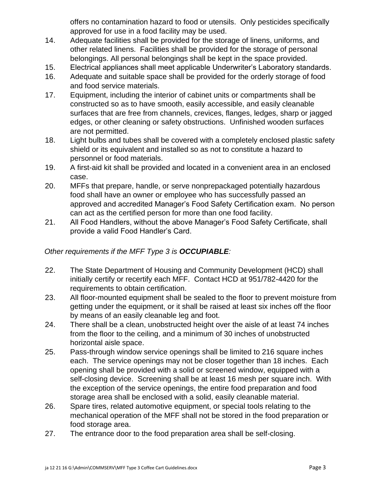offers no contamination hazard to food or utensils. Only pesticides specifically approved for use in a food facility may be used.

- 14. Adequate facilities shall be provided for the storage of linens, uniforms, and other related linens. Facilities shall be provided for the storage of personal belongings. All personal belongings shall be kept in the space provided.
- 15. Electrical appliances shall meet applicable Underwriter's Laboratory standards.
- 16. Adequate and suitable space shall be provided for the orderly storage of food and food service materials.
- 17. Equipment, including the interior of cabinet units or compartments shall be constructed so as to have smooth, easily accessible, and easily cleanable surfaces that are free from channels, crevices, flanges, ledges, sharp or jagged edges, or other cleaning or safety obstructions. Unfinished wooden surfaces are not permitted.
- 18. Light bulbs and tubes shall be covered with a completely enclosed plastic safety shield or its equivalent and installed so as not to constitute a hazard to personnel or food materials.
- 19. A first-aid kit shall be provided and located in a convenient area in an enclosed case.
- 20. MFFs that prepare, handle, or serve nonprepackaged potentially hazardous food shall have an owner or employee who has successfully passed an approved and accredited Manager's Food Safety Certification exam. No person can act as the certified person for more than one food facility.
- 21. All Food Handlers, without the above Manager's Food Safety Certificate, shall provide a valid Food Handler's Card.

## *Other requirements if the MFF Type 3 is OCCUPIABLE:*

- 22. The State Department of Housing and Community Development (HCD) shall initially certify or recertify each MFF. Contact HCD at 951/782-4420 for the requirements to obtain certification.
- 23. All floor-mounted equipment shall be sealed to the floor to prevent moisture from getting under the equipment, or it shall be raised at least six inches off the floor by means of an easily cleanable leg and foot.
- 24. There shall be a clean, unobstructed height over the aisle of at least 74 inches from the floor to the ceiling, and a minimum of 30 inches of unobstructed horizontal aisle space.
- 25. Pass-through window service openings shall be limited to 216 square inches each. The service openings may not be closer together than 18 inches. Each opening shall be provided with a solid or screened window, equipped with a self-closing device. Screening shall be at least 16 mesh per square inch. With the exception of the service openings, the entire food preparation and food storage area shall be enclosed with a solid, easily cleanable material.
- 26. Spare tires, related automotive equipment, or special tools relating to the mechanical operation of the MFF shall not be stored in the food preparation or food storage area.
- 27. The entrance door to the food preparation area shall be self-closing.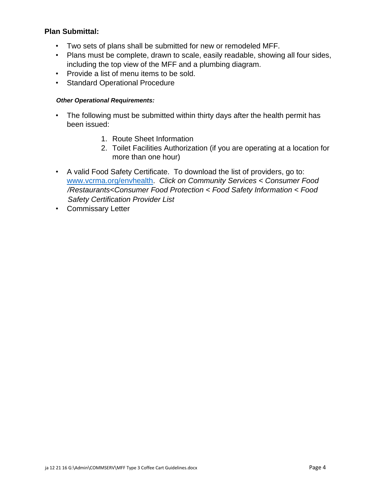#### **Plan Submittal:**

- Two sets of plans shall be submitted for new or remodeled MFF.
- Plans must be complete, drawn to scale, easily readable, showing all four sides, including the top view of the MFF and a plumbing diagram.
- Provide a list of menu items to be sold.
- Standard Operational Procedure

#### *Other Operational Requirements:*

- The following must be submitted within thirty days after the health permit has been issued:
	- 1. Route Sheet Information
	- 2. Toilet Facilities Authorization (if you are operating at a location for more than one hour)
- A valid Food Safety Certificate. To download the list of providers, go to: [www.vcrma.org/envhealth.](http://www.vcrma.org/envhealth) *Click on Community Services < Consumer Food /Restaurants<Consumer Food Protection < Food Safety Information < Food Safety Certification Provider List*
- Commissary Letter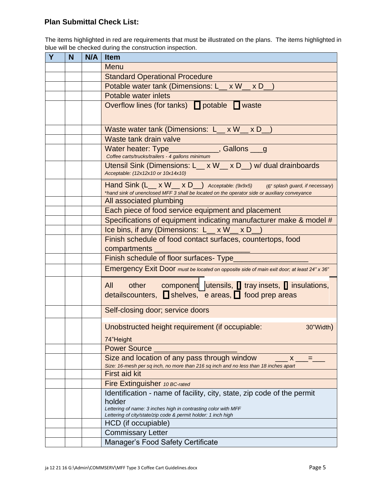## **Plan Submittal Check List:**

The items highlighted in red are requirements that must be illustrated on the plans. The items highlighted in blue will be checked during the construction inspection.

| Y | N | N/A | <b>Item</b>                                                                                                                                                                    |
|---|---|-----|--------------------------------------------------------------------------------------------------------------------------------------------------------------------------------|
|   |   |     | Menu                                                                                                                                                                           |
|   |   |     | <b>Standard Operational Procedure</b>                                                                                                                                          |
|   |   |     | Potable water tank (Dimensions: L_ x W_ x D_                                                                                                                                   |
|   |   |     | Potable water inlets                                                                                                                                                           |
|   |   |     | Overflow lines (for tanks) □ potable □ waste                                                                                                                                   |
|   |   |     |                                                                                                                                                                                |
|   |   |     | Waste water tank (Dimensions: L_ x W_ x D_                                                                                                                                     |
|   |   |     | Waste tank drain valve                                                                                                                                                         |
|   |   |     | Water heater: Type____________, Gallons ___ g                                                                                                                                  |
|   |   |     | Coffee carts/trucks/trailers - 4 gallons minimum                                                                                                                               |
|   |   |     | Utensil Sink (Dimensions: L_ x W_ x D_) w/ dual drainboards<br>Acceptable: (12x12x10 or 10x14x10)                                                                              |
|   |   |     | Hand Sink (L__ x W__ x D_) Acceptable: (9x9x5) (6" splash guard, if necessary)<br>*hand sink of unenclosed MFF 3 shall be located on the operator side or auxiliary conveyance |
|   |   |     | All associated plumbing                                                                                                                                                        |
|   |   |     | Each piece of food service equipment and placement                                                                                                                             |
|   |   |     | Specifications of equipment indicating manufacturer make & model #                                                                                                             |
|   |   |     | Ice bins, if any (Dimensions: L_ x W_ x D                                                                                                                                      |
|   |   |     | Finish schedule of food contact surfaces, countertops, food                                                                                                                    |
|   |   |     | compartments                                                                                                                                                                   |
|   |   |     | Finish schedule of floor surfaces- Type                                                                                                                                        |
|   |   |     | Emergency Exit Door must be located on opposite side of main exit door; at least 24" x 36"                                                                                     |
|   |   |     | other component utensils, tray insets, insulations,<br>All<br>detailscounters, shelves, e areas, so food prep areas                                                            |
|   |   |     | Self-closing door; service doors                                                                                                                                               |
|   |   |     | Unobstructed height requirement (if occupiable:<br>30"Width)                                                                                                                   |
|   |   |     |                                                                                                                                                                                |
|   |   |     | 74"Height                                                                                                                                                                      |
|   |   |     | <b>Power Source</b>                                                                                                                                                            |
|   |   |     | Size and location of any pass through window<br>X.<br>= 1<br>Size: 16-mesh per sq inch, no more than 216 sq inch and no less than 18 inches apart                              |
|   |   |     | <b>First aid kit</b>                                                                                                                                                           |
|   |   |     | Fire Extinguisher 10 BC-rated                                                                                                                                                  |
|   |   |     | Identification - name of facility, city, state, zip code of the permit                                                                                                         |
|   |   |     | holder                                                                                                                                                                         |
|   |   |     | Lettering of name: 3 inches high in contrasting color with MFF                                                                                                                 |
|   |   |     | Lettering of city/state/zip code & permit holder: 1 inch high<br>HCD (if occupiable)                                                                                           |
|   |   |     |                                                                                                                                                                                |
|   |   |     |                                                                                                                                                                                |
|   |   |     | <b>Commissary Letter</b><br>Manager's Food Safety Certificate                                                                                                                  |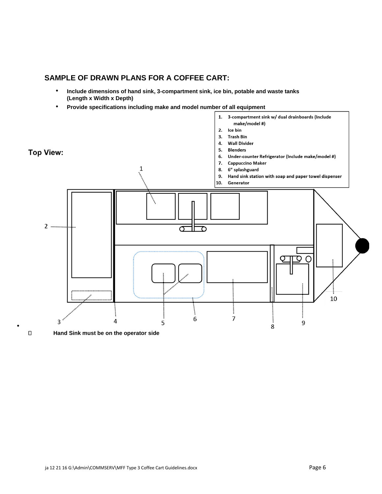#### **SAMPLE OF DRAWN PLANS FOR A COFFEE CART:**

- **Include dimensions of hand sink, 3-compartment sink, ice bin, potable and waste tanks (Length x Width x Depth)**
- **Provide specifications including make and model number of all equipment**



**Hand Sink must be on the operator side** 

•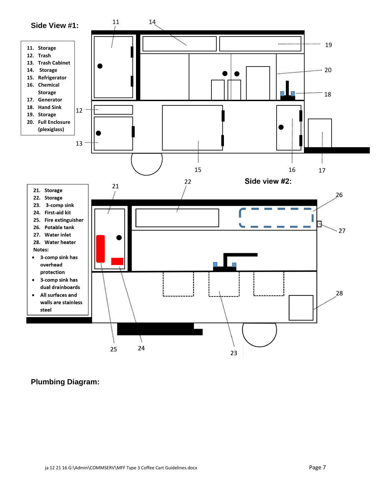

# **Plumbing Diagram:**